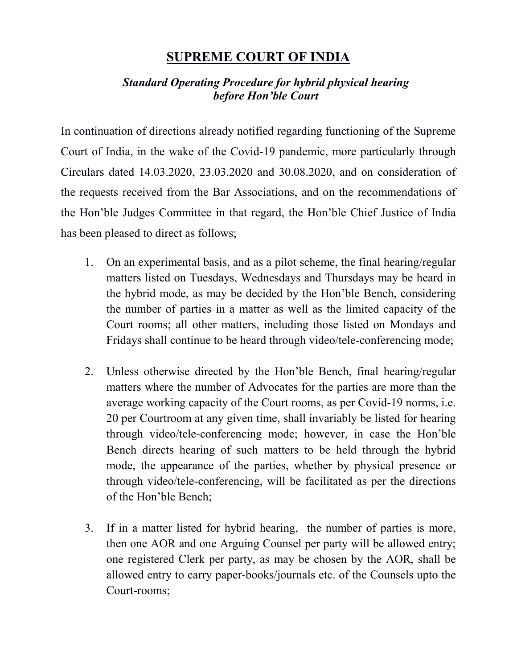## **SUPREME COURT OF INDIA**

## *Standard Operating Procedure for hybrid physical hearing before Hon'ble Court*

In continuation of directions already notified regarding functioning of the Supreme Court of India, in the wake of the Covid-19 pandemic, more particularly through Circulars dated 14.03.2020, 23.03.2020 and 30.08.2020, and on consideration of the requests received from the Bar Associations, and on the recommendations of the Hon'ble Judges Committee in that regard, the Hon'ble Chief Justice of India has been pleased to direct as follows;

- 1. On an experimental basis, and as a pilot scheme, the final hearing/regular matters listed on Tuesdays, Wednesdays and Thursdays may be heard in the hybrid mode, as may be decided by the Hon'ble Bench, considering the number of parties in a matter as well as the limited capacity of the Court rooms; all other matters, including those listed on Mondays and Fridays shall continue to be heard through video/tele-conferencing mode;
- 2. Unless otherwise directed by the Hon'ble Bench, final hearing/regular matters where the number of Advocates for the parties are more than the average working capacity of the Court rooms, as per Covid-19 norms, i.e. 20 per Courtroom at any given time, shall invariably be listed for hearing through video/tele-conferencing mode; however, in case the Hon'ble Bench directs hearing of such matters to be held through the hybrid mode, the appearance of the parties, whether by physical presence or through video/tele-conferencing, will be facilitated as per the directions of the Hon'ble Bench;
- 3. If in a matter listed for hybrid hearing, the number of parties is more, then one AOR and one Arguing Counsel per party will be allowed entry; one registered Clerk per party, as may be chosen by the AOR, shall be allowed entry to carry paper-books/journals etc. of the Counsels upto the Court-rooms;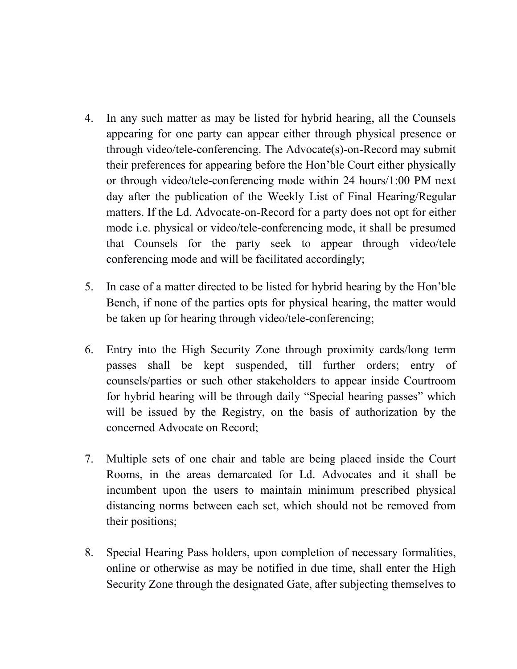- 4. In any such matter as may be listed for hybrid hearing, all the Counsels appearing for one party can appear either through physical presence or through video/tele-conferencing. The Advocate(s)-on-Record may submit their preferences for appearing before the Hon'ble Court either physically or through video/tele-conferencing mode within 24 hours/1:00 PM next day after the publication of the Weekly List of Final Hearing/Regular matters. If the Ld. Advocate-on-Record for a party does not opt for either mode i.e. physical or video/tele-conferencing mode, it shall be presumed that Counsels for the party seek to appear through video/tele conferencing mode and will be facilitated accordingly;
- 5. In case of a matter directed to be listed for hybrid hearing by the Hon'ble Bench, if none of the parties opts for physical hearing, the matter would be taken up for hearing through video/tele-conferencing;
- 6. Entry into the High Security Zone through proximity cards/long term passes shall be kept suspended, till further orders; entry of counsels/parties or such other stakeholders to appear inside Courtroom for hybrid hearing will be through daily "Special hearing passes" which will be issued by the Registry, on the basis of authorization by the concerned Advocate on Record;
- 7. Multiple sets of one chair and table are being placed inside the Court Rooms, in the areas demarcated for Ld. Advocates and it shall be incumbent upon the users to maintain minimum prescribed physical distancing norms between each set, which should not be removed from their positions;
- 8. Special Hearing Pass holders, upon completion of necessary formalities, online or otherwise as may be notified in due time, shall enter the High Security Zone through the designated Gate, after subjecting themselves to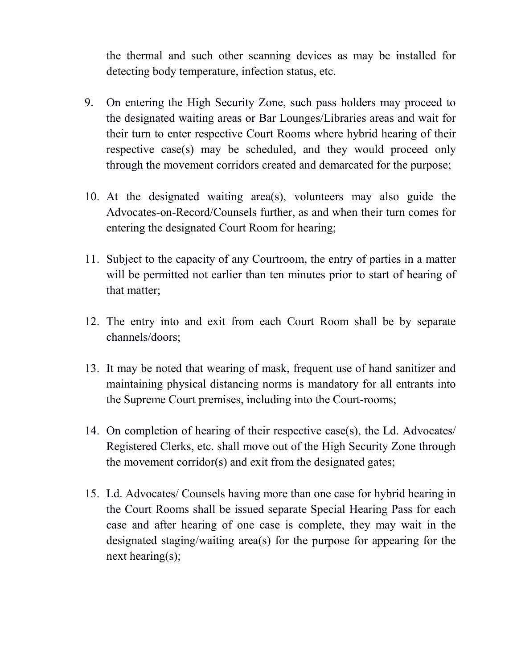the thermal and such other scanning devices as may be installed for detecting body temperature, infection status, etc.

- 9. On entering the High Security Zone, such pass holders may proceed to the designated waiting areas or Bar Lounges/Libraries areas and wait for their turn to enter respective Court Rooms where hybrid hearing of their respective case(s) may be scheduled, and they would proceed only through the movement corridors created and demarcated for the purpose;
- 10. At the designated waiting area(s), volunteers may also guide the Advocates-on-Record/Counsels further, as and when their turn comes for entering the designated Court Room for hearing;
- 11. Subject to the capacity of any Courtroom, the entry of parties in a matter will be permitted not earlier than ten minutes prior to start of hearing of that matter;
- 12. The entry into and exit from each Court Room shall be by separate channels/doors;
- 13. It may be noted that wearing of mask, frequent use of hand sanitizer and maintaining physical distancing norms is mandatory for all entrants into the Supreme Court premises, including into the Court-rooms;
- 14. On completion of hearing of their respective case(s), the Ld. Advocates/ Registered Clerks, etc. shall move out of the High Security Zone through the movement corridor(s) and exit from the designated gates;
- 15. Ld. Advocates/ Counsels having more than one case for hybrid hearing in the Court Rooms shall be issued separate Special Hearing Pass for each case and after hearing of one case is complete, they may wait in the designated staging/waiting area(s) for the purpose for appearing for the next hearing(s);